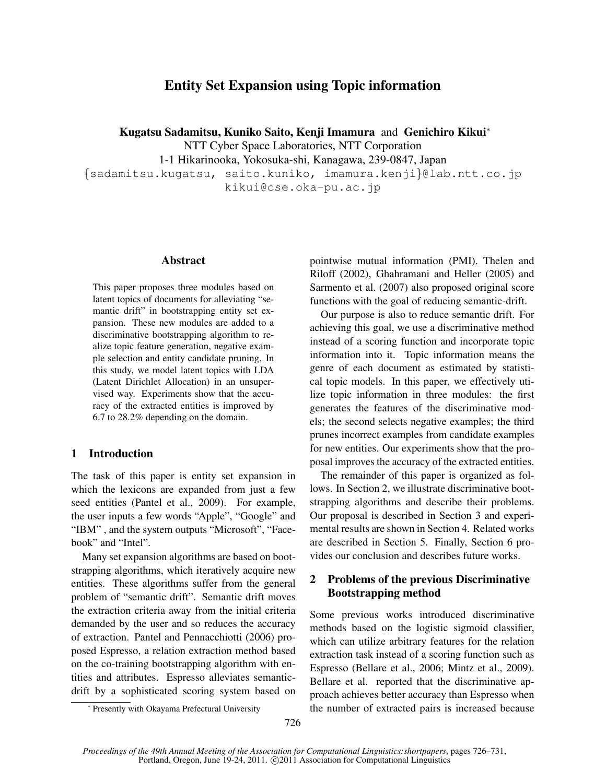# Entity Set Expansion using Topic information

Kugatsu Sadamitsu, Kuniko Saito, Kenji Imamura and Genichiro Kikui*<sup>∗</sup>*

NTT Cyber Space Laboratories, NTT Corporation

1-1 Hikarinooka, Yokosuka-shi, Kanagawa, 239-0847, Japan

*{*sadamitsu.kugatsu, saito.kuniko, imamura.kenji*}*@lab.ntt.co.jp kikui@cse.oka-pu.ac.jp

## Abstract

This paper proposes three modules based on latent topics of documents for alleviating "semantic drift" in bootstrapping entity set expansion. These new modules are added to a discriminative bootstrapping algorithm to realize topic feature generation, negative example selection and entity candidate pruning. In this study, we model latent topics with LDA (Latent Dirichlet Allocation) in an unsupervised way. Experiments show that the accuracy of the extracted entities is improved by 6.7 to 28.2% depending on the domain.

## 1 Introduction

The task of this paper is entity set expansion in which the lexicons are expanded from just a few seed entities (Pantel et al., 2009). For example, the user inputs a few words "Apple", "Google" and "IBM" , and the system outputs "Microsoft", "Facebook" and "Intel".

Many set expansion algorithms are based on bootstrapping algorithms, which iteratively acquire new entities. These algorithms suffer from the general problem of "semantic drift". Semantic drift moves the extraction criteria away from the initial criteria demanded by the user and so reduces the accuracy of extraction. Pantel and Pennacchiotti (2006) proposed Espresso, a relation extraction method based on the co-training bootstrapping algorithm with entities and attributes. Espresso alleviates semanticdrift by a sophisticated scoring system based on pointwise mutual information (PMI). Thelen and Riloff (2002), Ghahramani and Heller (2005) and Sarmento et al. (2007) also proposed original score functions with the goal of reducing semantic-drift.

Our purpose is also to reduce semantic drift. For achieving this goal, we use a discriminative method instead of a scoring function and incorporate topic information into it. Topic information means the genre of each document as estimated by statistical topic models. In this paper, we effectively utilize topic information in three modules: the first generates the features of the discriminative models; the second selects negative examples; the third prunes incorrect examples from candidate examples for new entities. Our experiments show that the proposal improves the accuracy of the extracted entities.

The remainder of this paper is organized as follows. In Section 2, we illustrate discriminative bootstrapping algorithms and describe their problems. Our proposal is described in Section 3 and experimental results are shown in Section 4. Related works are described in Section 5. Finally, Section 6 provides our conclusion and describes future works.

## 2 Problems of the previous Discriminative Bootstrapping method

Some previous works introduced discriminative methods based on the logistic sigmoid classifier, which can utilize arbitrary features for the relation extraction task instead of a scoring function such as Espresso (Bellare et al., 2006; Mintz et al., 2009). Bellare et al. reported that the discriminative approach achieves better accuracy than Espresso when the number of extracted pairs is increased because

*<sup>∗</sup>* Presently with Okayama Prefectural University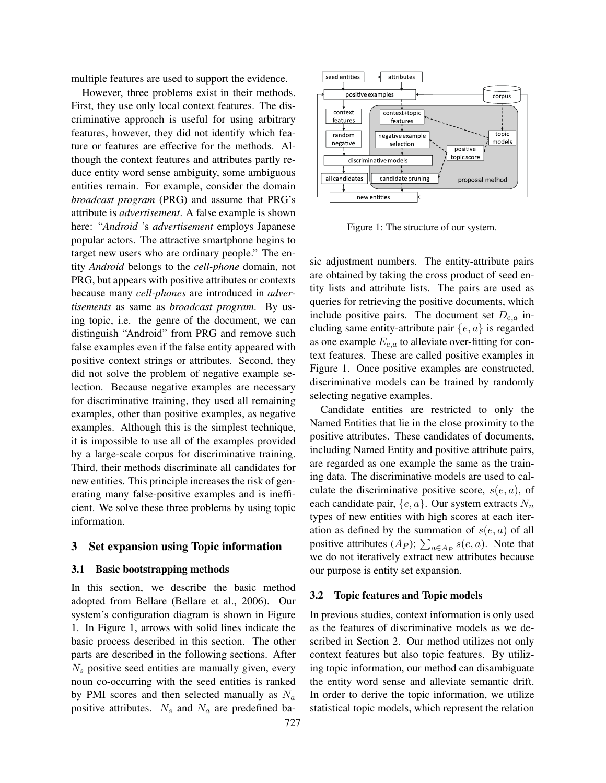multiple features are used to support the evidence.

However, three problems exist in their methods. First, they use only local context features. The discriminative approach is useful for using arbitrary features, however, they did not identify which feature or features are effective for the methods. Although the context features and attributes partly reduce entity word sense ambiguity, some ambiguous entities remain. For example, consider the domain *broadcast program* (PRG) and assume that PRG's attribute is *advertisement*. A false example is shown here: "*Android* 's *advertisement* employs Japanese popular actors. The attractive smartphone begins to target new users who are ordinary people." The entity *Android* belongs to the *cell-phone* domain, not PRG, but appears with positive attributes or contexts because many *cell-phones* are introduced in *advertisements* as same as *broadcast program*. By using topic, i.e. the genre of the document, we can distinguish "Android" from PRG and remove such false examples even if the false entity appeared with positive context strings or attributes. Second, they did not solve the problem of negative example selection. Because negative examples are necessary for discriminative training, they used all remaining examples, other than positive examples, as negative examples. Although this is the simplest technique, it is impossible to use all of the examples provided by a large-scale corpus for discriminative training. Third, their methods discriminate all candidates for new entities. This principle increases the risk of generating many false-positive examples and is inefficient. We solve these three problems by using topic information.

#### 3 Set expansion using Topic information

#### 3.1 Basic bootstrapping methods

In this section, we describe the basic method adopted from Bellare (Bellare et al., 2006). Our system's configuration diagram is shown in Figure 1. In Figure 1, arrows with solid lines indicate the basic process described in this section. The other parts are described in the following sections. After *N<sup>s</sup>* positive seed entities are manually given, every noun co-occurring with the seed entities is ranked by PMI scores and then selected manually as *N<sup>a</sup>* positive attributes. *N<sup>s</sup>* and *N<sup>a</sup>* are predefined ba-



Figure 1: The structure of our system.

sic adjustment numbers. The entity-attribute pairs are obtained by taking the cross product of seed entity lists and attribute lists. The pairs are used as queries for retrieving the positive documents, which include positive pairs. The document set *De,a* including same entity-attribute pair *{e, a}* is regarded as one example *Ee,a* to alleviate over-fitting for context features. These are called positive examples in Figure 1. Once positive examples are constructed, discriminative models can be trained by randomly selecting negative examples.

Candidate entities are restricted to only the Named Entities that lie in the close proximity to the positive attributes. These candidates of documents, including Named Entity and positive attribute pairs, are regarded as one example the same as the training data. The discriminative models are used to calculate the discriminative positive score, *s*(*e, a*), of each candidate pair, *{e, a}*. Our system extracts *N<sup>n</sup>* types of new entities with high scores at each iteration as defined by the summation of *s*(*e, a*) of all positive attributes  $(A_P)$ ;  $\sum_{a \in A_P} s(e, a)$ . Note that we do not iteratively extract new attributes because our purpose is entity set expansion.

#### 3.2 Topic features and Topic models

In previous studies, context information is only used as the features of discriminative models as we described in Section 2. Our method utilizes not only context features but also topic features. By utilizing topic information, our method can disambiguate the entity word sense and alleviate semantic drift. In order to derive the topic information, we utilize statistical topic models, which represent the relation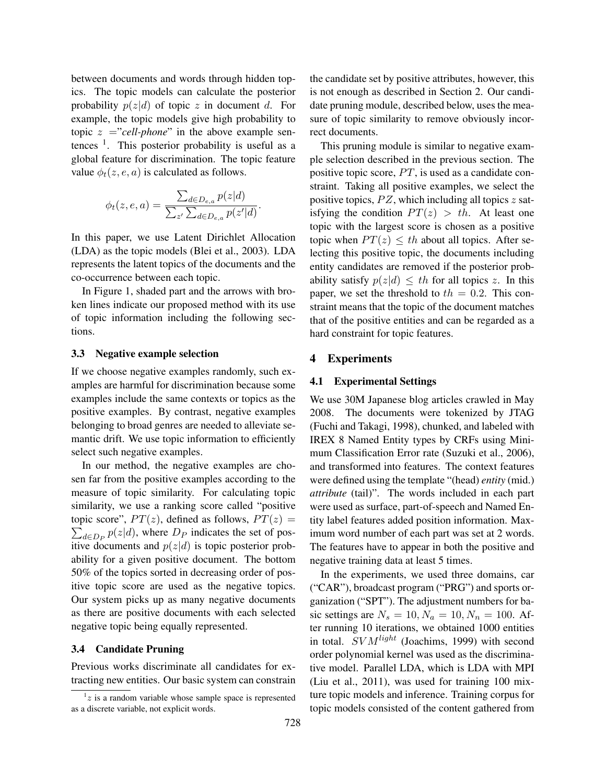between documents and words through hidden topics. The topic models can calculate the posterior probability  $p(z|d)$  of topic *z* in document *d*. For example, the topic models give high probability to topic  $z = "cell-phone"$  in the above example sentences  $\frac{1}{1}$ . This posterior probability is useful as a global feature for discrimination. The topic feature value  $\phi_t(z, e, a)$  is calculated as follows.

$$
\phi_t(z, e, a) = \frac{\sum_{d \in D_{e,a}} p(z|d)}{\sum_{z'} \sum_{d \in D_{e,a}} p(z'|d)}.
$$

In this paper, we use Latent Dirichlet Allocation (LDA) as the topic models (Blei et al., 2003). LDA represents the latent topics of the documents and the co-occurrence between each topic.

In Figure 1, shaded part and the arrows with broken lines indicate our proposed method with its use of topic information including the following sections.

#### 3.3 Negative example selection

If we choose negative examples randomly, such examples are harmful for discrimination because some examples include the same contexts or topics as the positive examples. By contrast, negative examples belonging to broad genres are needed to alleviate semantic drift. We use topic information to efficiently select such negative examples.

In our method, the negative examples are chosen far from the positive examples according to the measure of topic similarity. For calculating topic similarity, we use a ranking score called "positive topic score",  $PT(z)$ , defined as follows,  $PT(z) =$  $\sum_{d \in D_P} p(z|d)$ , where  $D_P$  indicates the set of positive documents and  $p(z|d)$  is topic posterior probability for a given positive document. The bottom 50% of the topics sorted in decreasing order of positive topic score are used as the negative topics. Our system picks up as many negative documents as there are positive documents with each selected negative topic being equally represented.

#### 3.4 Candidate Pruning

Previous works discriminate all candidates for extracting new entities. Our basic system can constrain the candidate set by positive attributes, however, this is not enough as described in Section 2. Our candidate pruning module, described below, uses the measure of topic similarity to remove obviously incorrect documents.

This pruning module is similar to negative example selection described in the previous section. The positive topic score, PT, is used as a candidate constraint. Taking all positive examples, we select the positive topics, *P Z*, which including all topics *z* satisfying the condition  $PT(z) > th$ . At least one topic with the largest score is chosen as a positive topic when  $PT(z) \leq th$  about all topics. After selecting this positive topic, the documents including entity candidates are removed if the posterior probability satisfy  $p(z|d) \leq th$  for all topics *z*. In this paper, we set the threshold to  $th = 0.2$ . This constraint means that the topic of the document matches that of the positive entities and can be regarded as a hard constraint for topic features.

## 4 Experiments

#### 4.1 Experimental Settings

We use 30M Japanese blog articles crawled in May 2008. The documents were tokenized by JTAG (Fuchi and Takagi, 1998), chunked, and labeled with IREX 8 Named Entity types by CRFs using Minimum Classification Error rate (Suzuki et al., 2006), and transformed into features. The context features were defined using the template "(head) *entity* (mid.) *attribute* (tail)". The words included in each part were used as surface, part-of-speech and Named Entity label features added position information. Maximum word number of each part was set at 2 words. The features have to appear in both the positive and negative training data at least 5 times.

In the experiments, we used three domains, car ("CAR"), broadcast program ("PRG") and sports organization ("SPT"). The adjustment numbers for basic settings are  $N_s = 10, N_a = 10, N_n = 100$ . After running 10 iterations, we obtained 1000 entities in total. *SV Mlight* (Joachims, 1999) with second order polynomial kernel was used as the discriminative model. Parallel LDA, which is LDA with MPI (Liu et al., 2011), was used for training 100 mixture topic models and inference. Training corpus for topic models consisted of the content gathered from

 $1z$  is a random variable whose sample space is represented as a discrete variable, not explicit words.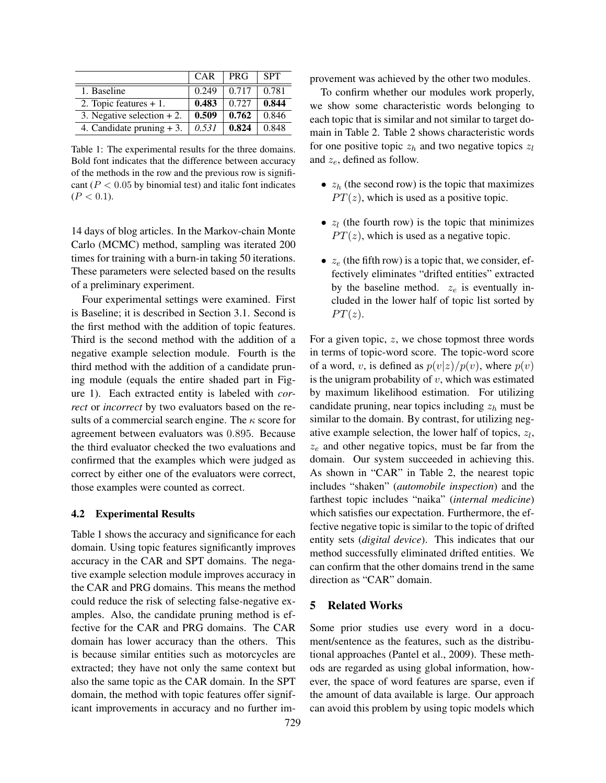|                              | <b>CAR</b> | <b>PRG</b> | <b>SPT</b> |
|------------------------------|------------|------------|------------|
| 1. Baseline                  | 0.249      | 0.717      | 0.781      |
| 2. Topic features $+1$ .     | 0.483      | 0.727      | 0.844      |
| 3. Negative selection $+2$ . | 0.509      | 0.762      | 0.846      |
| 4. Candidate pruning $+3$ .  | 0.531      | 0.824      | 0.848      |

Table 1: The experimental results for the three domains. Bold font indicates that the difference between accuracy of the methods in the row and the previous row is significant (*P <* 0*.*05 by binomial test) and italic font indicates  $(P < 0.1)$ .

14 days of blog articles. In the Markov-chain Monte Carlo (MCMC) method, sampling was iterated 200 times for training with a burn-in taking 50 iterations. These parameters were selected based on the results of a preliminary experiment.

Four experimental settings were examined. First is Baseline; it is described in Section 3.1. Second is the first method with the addition of topic features. Third is the second method with the addition of a negative example selection module. Fourth is the third method with the addition of a candidate pruning module (equals the entire shaded part in Figure 1). Each extracted entity is labeled with *correct* or *incorrect* by two evaluators based on the results of a commercial search engine. The *κ* score for agreement between evaluators was 0*.*895. Because the third evaluator checked the two evaluations and confirmed that the examples which were judged as correct by either one of the evaluators were correct, those examples were counted as correct.

#### 4.2 Experimental Results

Table 1 shows the accuracy and significance for each domain. Using topic features significantly improves accuracy in the CAR and SPT domains. The negative example selection module improves accuracy in the CAR and PRG domains. This means the method could reduce the risk of selecting false-negative examples. Also, the candidate pruning method is effective for the CAR and PRG domains. The CAR domain has lower accuracy than the others. This is because similar entities such as motorcycles are extracted; they have not only the same context but also the same topic as the CAR domain. In the SPT domain, the method with topic features offer significant improvements in accuracy and no further improvement was achieved by the other two modules.

To confirm whether our modules work properly, we show some characteristic words belonging to each topic that is similar and not similar to target domain in Table 2. Table 2 shows characteristic words for one positive topic  $z_h$  and two negative topics  $z_l$ and *ze*, defined as follow.

- *• z<sup>h</sup>* (the second row) is the topic that maximizes  $PT(z)$ , which is used as a positive topic.
- *• z<sup>l</sup>* (the fourth row) is the topic that minimizes  $PT(z)$ , which is used as a negative topic.
- *• z<sup>e</sup>* (the fifth row) is a topic that, we consider, effectively eliminates "drifted entities" extracted by the baseline method. *z<sup>e</sup>* is eventually included in the lower half of topic list sorted by  $PT(z)$ .

For a given topic, *z*, we chose topmost three words in terms of topic-word score. The topic-word score of a word, *v*, is defined as  $p(v|z)/p(v)$ , where  $p(v)$ is the unigram probability of *v*, which was estimated by maximum likelihood estimation. For utilizing candidate pruning, near topics including *z<sup>h</sup>* must be similar to the domain. By contrast, for utilizing negative example selection, the lower half of topics, *z<sup>l</sup>* , *z<sup>e</sup>* and other negative topics, must be far from the domain. Our system succeeded in achieving this. As shown in "CAR" in Table 2, the nearest topic includes "shaken" (*automobile inspection*) and the farthest topic includes "naika" (*internal medicine*) which satisfies our expectation. Furthermore, the effective negative topic is similar to the topic of drifted entity sets (*digital device*). This indicates that our method successfully eliminated drifted entities. We can confirm that the other domains trend in the same direction as "CAR" domain.

## 5 Related Works

Some prior studies use every word in a document/sentence as the features, such as the distributional approaches (Pantel et al., 2009). These methods are regarded as using global information, however, the space of word features are sparse, even if the amount of data available is large. Our approach can avoid this problem by using topic models which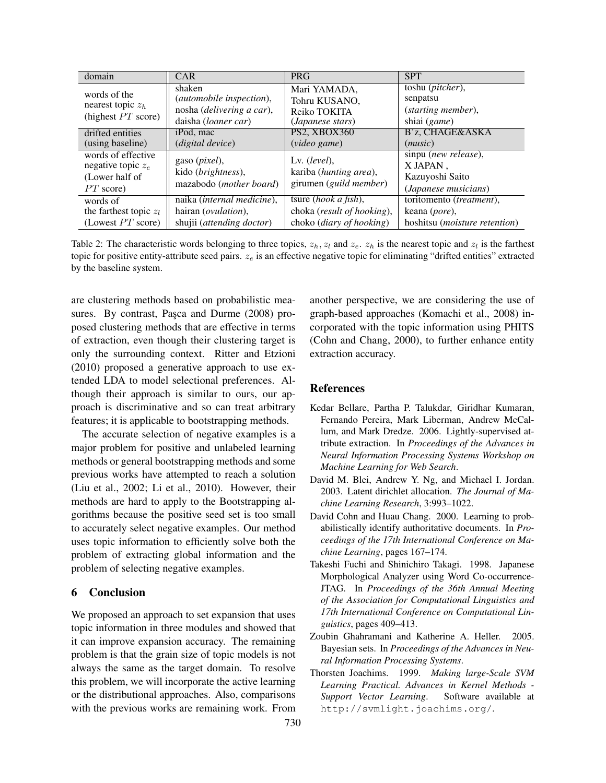| domain                                                                      | <b>CAR</b>                                                                                      | <b>PRG</b>                                                                              | <b>SPT</b>                                                                              |
|-----------------------------------------------------------------------------|-------------------------------------------------------------------------------------------------|-----------------------------------------------------------------------------------------|-----------------------------------------------------------------------------------------|
| words of the<br>nearest topic $z_h$<br>(highest $PT$ score)                 | shaken<br>(automobile inspection),<br>nosha ( <i>delivering a car</i> ),<br>daisha (loaner car) | Mari YAMADA.<br>Tohru KUSANO,<br>Reiko TOKITA<br>( <i>Japanese stars</i> )              | toshu ( <i>pitcher</i> ),<br>senpatsu<br>(starting member),<br>shiai (game)             |
| drifted entities<br>(using baseline)                                        | iPod, mac<br>(digital device)                                                                   | PS2, XBOX360<br>(video game)                                                            | B'z, CHAGE&ASKA<br>(music)                                                              |
| words of effective<br>negative topic $z_e$<br>(Lower half of<br>$PT$ score) | gaso ( <i>pixel</i> ),<br>kido (brightness),<br>mazabodo ( <i>mother board</i> )                | Lv. $(level),$<br>kariba (hunting area),<br>girumen (guild member)                      | $s$ inpu ( <i>new release</i> ),<br>X JAPAN.<br>Kazuyoshi Saito<br>(Japanese musicians) |
| words of<br>the farthest topic $z_l$<br>(Lowest $PT$ score)                 | naika (internal medicine),<br>hairan ( <i>ovulation</i> ),<br>shujii (attending doctor)         | tsure ( <i>hook a fish</i> ),<br>choka (result of hooking),<br>choko (diary of hooking) | toritomento (treatment),<br>keana (pore),<br>hoshitsu (moisture retention)              |

Table 2: The characteristic words belonging to three topics,  $z_h$ ,  $z_l$  and  $z_e$ .  $z_h$  is the nearest topic and  $z_l$  is the farthest topic for positive entity-attribute seed pairs. *z<sup>e</sup>* is an effective negative topic for eliminating "drifted entities" extracted by the baseline system.

are clustering methods based on probabilistic measures. By contrast, Pasca and Durme (2008) proposed clustering methods that are effective in terms of extraction, even though their clustering target is only the surrounding context. Ritter and Etzioni (2010) proposed a generative approach to use extended LDA to model selectional preferences. Although their approach is similar to ours, our approach is discriminative and so can treat arbitrary features; it is applicable to bootstrapping methods.

The accurate selection of negative examples is a major problem for positive and unlabeled learning methods or general bootstrapping methods and some previous works have attempted to reach a solution (Liu et al., 2002; Li et al., 2010). However, their methods are hard to apply to the Bootstrapping algorithms because the positive seed set is too small to accurately select negative examples. Our method uses topic information to efficiently solve both the problem of extracting global information and the problem of selecting negative examples.

## 6 Conclusion

We proposed an approach to set expansion that uses topic information in three modules and showed that it can improve expansion accuracy. The remaining problem is that the grain size of topic models is not always the same as the target domain. To resolve this problem, we will incorporate the active learning or the distributional approaches. Also, comparisons with the previous works are remaining work. From another perspective, we are considering the use of graph-based approaches (Komachi et al., 2008) incorporated with the topic information using PHITS (Cohn and Chang, 2000), to further enhance entity extraction accuracy.

## References

- Kedar Bellare, Partha P. Talukdar, Giridhar Kumaran, Fernando Pereira, Mark Liberman, Andrew McCallum, and Mark Dredze. 2006. Lightly-supervised attribute extraction. In *Proceedings of the Advances in Neural Information Processing Systems Workshop on Machine Learning for Web Search*.
- David M. Blei, Andrew Y. Ng, and Michael I. Jordan. 2003. Latent dirichlet allocation. *The Journal of Machine Learning Research*, 3:993–1022.
- David Cohn and Huau Chang. 2000. Learning to probabilistically identify authoritative documents. In *Proceedings of the 17th International Conference on Machine Learning*, pages 167–174.
- Takeshi Fuchi and Shinichiro Takagi. 1998. Japanese Morphological Analyzer using Word Co-occurrence-JTAG. In *Proceedings of the 36th Annual Meeting of the Association for Computational Linguistics and 17th International Conference on Computational Linguistics*, pages 409–413.
- Zoubin Ghahramani and Katherine A. Heller. 2005. Bayesian sets. In *Proceedings of the Advances in Neural Information Processing Systems*.
- Thorsten Joachims. 1999. *Making large-Scale SVM Learning Practical. Advances in Kernel Methods - Support Vector Learning*. Software available at http://svmlight.joachims.org/.